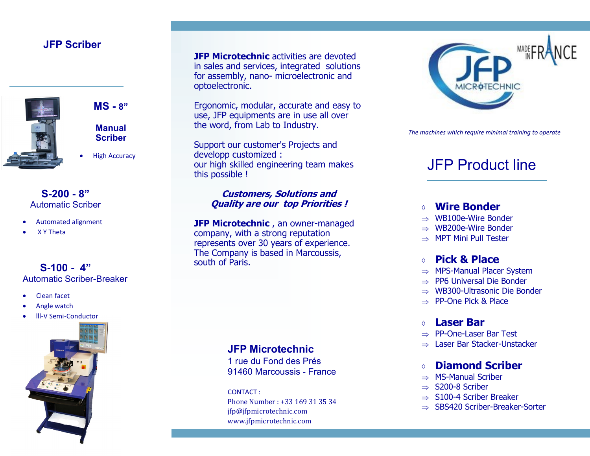## **JFP Scriber**



**MS - 8"**

**Manual Scriber**

**High Accuracy** 

#### **S-200 - 8"** Automatic Scriber

- Automated alignment
- X Y Theta

## **S-100 - 4"** Automatic Scriber-Breaker

- Clean facet
- Angle watch
- lll-V Semi-Conductor



**JFP Microtechnic activities are devoted** in sales and services, integrated solutions for assembly, nano- microelectronic and optoelectronic.

Ergonomic, modular, accurate and easy to use, JFP equipments are in use all over the word, from Lab to Industry.

Support our customer's Projects and developp customized : our high skilled engineering team makes this possible !

#### **Customers, Solutions and Quality are our top Priorities !**

**JFP Microtechnic**, an owner-managed company, with a strong reputation represents over 30 years of experience. The Company is based in Marcoussis, south of Paris.

## **JFP Microtechnic**

1 rue du Fond des Prés 91460 Marcoussis - France

CONTACT : Phone Number : +33 169 31 35 34 jfp@jfpmicrotechnic.com www.jfpmicrotechnic.com



*The machines which require minimal training to operate*

# JFP Product line

## **Wire Bonder**

- $\Rightarrow$  WB100e-Wire Bonder
- $\Rightarrow$  WB200e-Wire Bonder
- $\Rightarrow$  MPT Mini Pull Tester

## **Pick & Place**

- $\Rightarrow$  MPS-Manual Placer System
- $\Rightarrow$  PP6 Universal Die Bonder
- $\Rightarrow$  WB300-Ultrasonic Die Bonder
- $\Rightarrow$  PP-One Pick & Place

#### **Laser Bar**

- $\Rightarrow$  PP-One-Laser Bar Test
- $\Rightarrow$  Laser Bar Stacker-Unstacker

## **Diamond Scriber**

- $\Rightarrow$  MS-Manual Scriber
- $\Rightarrow$  S200-8 Scriber
- $\Rightarrow$  S100-4 Scriber Breaker
- SBS420 Scriber-Breaker-Sorter